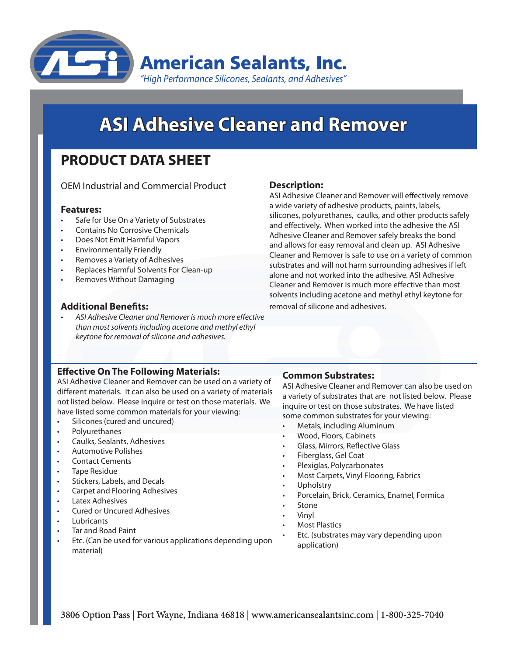

# **ASI Adhesive Cleaner and Remover**

# **PRODUCT DATA SHEET**

OEM Industrial and Commercial Product

# **Features:**

- Safe for Use On a Variety of Substrates
- Contains No Corrosive Chemicals
- Does Not Emit Harmful Vapors
- **Environmentally Friendly**
- Removes a Variety of Adhesives
- Replaces Harmful Solvents For Clean-up
- Removes Without Damaging

# **Additional Benefits:**

ASI Adhesive Cleaner and Remover is much more effective *than most solvents including acetone and methyl ethyl keytone for removal of silicone and adhesives.*

# **Effective On The Following Materials:**

ASI Adhesive Cleaner and Remover can be used on a variety of different materials. It can also be used on a variety of materials not listed below. Please inquire or test on those materials. We have listed some common materials for your viewing:

- Silicones (cured and uncured)
- **Polyurethanes**
- Caulks, Sealants, Adhesives
- **Automotive Polishes**
- **Contact Cements**
- Tape Residue
- Stickers, Labels, and Decals
- Carpet and Flooring Adhesives
- **Latex Adhesives**
- **Cured or Uncured Adhesives**
- **Lubricants**
- Tar and Road Paint
- Etc. (Can be used for various applications depending upon material)

# **Description:**

ASI Adhesive Cleaner and Remover will effectively remove a wide variety of adhesive products, paints, labels, silicones, polyurethanes, caulks, and other products safely and effectively. When worked into the adhesive the ASI Adhesive Cleaner and Remover safely breaks the bond and allows for easy removal and clean up. ASI Adhesive Cleaner and Remover is safe to use on a variety of common substrates and will not harm surrounding adhesives if left alone and not worked into the adhesive. ASI Adhesive Cleaner and Remover is much more effective than most solvents including acetone and methyl ethyl keytone for removal of silicone and adhesives.

# **Common Substrates:**

ASI Adhesive Cleaner and Remover can also be used on a variety of substrates that are not listed below. Please inquire or test on those substrates. We have listed some common substrates for your viewing:

- Metals, including Aluminum
- Wood, Floors, Cabinets
- Glass, Mirrors, Reflective Glass
- Fiberglass, Gel Coat
- Plexiglas, Polycarbonates
- Most Carpets, Vinyl Flooring, Fabrics
- **Upholstry**
- Porcelain, Brick, Ceramics, Enamel, Formica
- **Stone**
- **Vinyl**
- **Most Plastics**
- Etc. (substrates may vary depending upon application)